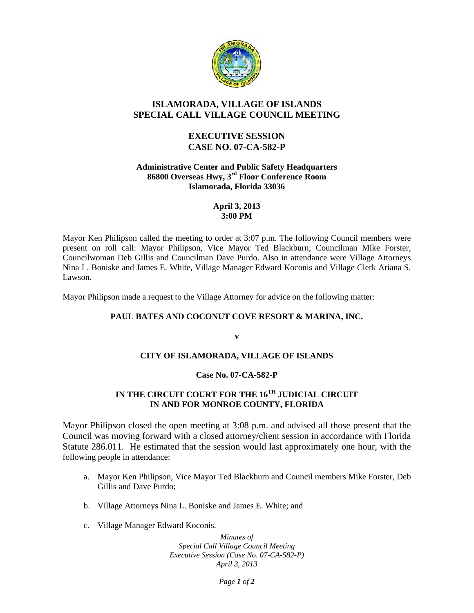

# **ISLAMORADA, VILLAGE OF ISLANDS SPECIAL CALL VILLAGE COUNCIL MEETING**

## **EXECUTIVE SESSION CASE NO. 07-CA-582-P**

#### **Administrative Center and Public Safety Headquarters 86800 Overseas Hwy, 3rd Floor Conference Room Islamorada, Florida 33036**

#### **April 3, 2013 3:00 PM**

Mayor Ken Philipson called the meeting to order at 3:07 p.m. The following Council members were present on roll call: Mayor Philipson, Vice Mayor Ted Blackburn; Councilman Mike Forster, Councilwoman Deb Gillis and Councilman Dave Purdo. Also in attendance were Village Attorneys Nina L. Boniske and James E. White, Village Manager Edward Koconis and Village Clerk Ariana S. Lawson.

Mayor Philipson made a request to the Village Attorney for advice on the following matter:

### **PAUL BATES AND COCONUT COVE RESORT & MARINA, INC.**

**v** 

### **CITY OF ISLAMORADA, VILLAGE OF ISLANDS**

### **Case No. 07-CA-582-P**

# **IN THE CIRCUIT COURT FOR THE 16TH JUDICIAL CIRCUIT IN AND FOR MONROE COUNTY, FLORIDA**

Mayor Philipson closed the open meeting at 3:08 p.m. and advised all those present that the Council was moving forward with a closed attorney/client session in accordance with Florida Statute 286.011. He estimated that the session would last approximately one hour, with the following people in attendance:

- a. Mayor Ken Philipson, Vice Mayor Ted Blackburn and Council members Mike Forster, Deb Gillis and Dave Purdo;
- b. Village Attorneys Nina L. Boniske and James E. White; and
- c. Village Manager Edward Koconis.

*Minutes of Special Call Village Council Meeting Executive Session (Case No. 07-CA-582-P) April 3, 2013* 

*Page 1 of 2*